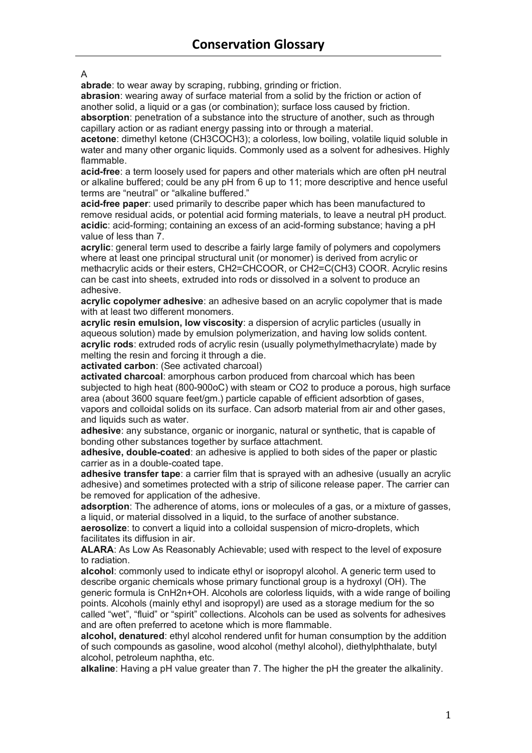## A

**abrade**: to wear away by scraping, rubbing, grinding or friction.

**abrasion**: wearing away of surface material from a solid by the friction or action of another solid, a liquid or a gas (or combination); surface loss caused by friction. **absorption**: penetration of a substance into the structure of another, such as through capillary action or as radiant energy passing into or through a material.

**acetone**: dimethyl ketone (CH3COCH3); a colorless, low boiling, volatile liquid soluble in water and many other organic liquids. Commonly used as a solvent for adhesives. Highly flammable.

**acid-free**: a term loosely used for papers and other materials which are often pH neutral or alkaline buffered; could be any pH from 6 up to 11; more descriptive and hence useful terms are "neutral" or "alkaline buffered."

**acid-free paper**: used primarily to describe paper which has been manufactured to remove residual acids, or potential acid forming materials, to leave a neutral pH product. **acidic**: acid-forming; containing an excess of an acid-forming substance; having a pH value of less than 7.

**acrylic**: general term used to describe a fairly large family of polymers and copolymers where at least one principal structural unit (or monomer) is derived from acrylic or methacrylic acids or their esters, CH2=CHCOOR, or CH2=C(CH3) COOR. Acrylic resins can be cast into sheets, extruded into rods or dissolved in a solvent to produce an adhesive.

**acrylic copolymer adhesive**: an adhesive based on an acrylic copolymer that is made with at least two different monomers.

**acrylic resin emulsion, low viscosity**: a dispersion of acrylic particles (usually in aqueous solution) made by emulsion polymerization, and having low solids content. **acrylic rods**: extruded rods of acrylic resin (usually polymethylmethacrylate) made by melting the resin and forcing it through a die.

**activated carbon**: (See activated charcoal)

**activated charcoal**: amorphous carbon produced from charcoal which has been subjected to high heat (800-900oC) with steam or CO2 to produce a porous, high surface area (about 3600 square feet/gm.) particle capable of efficient adsorbtion of gases, vapors and colloidal solids on its surface. Can adsorb material from air and other gases, and liquids such as water.

**adhesive**: any substance, organic or inorganic, natural or synthetic, that is capable of bonding other substances together by surface attachment.

**adhesive, double-coated**: an adhesive is applied to both sides of the paper or plastic carrier as in a double-coated tape.

**adhesive transfer tape**: a carrier film that is sprayed with an adhesive (usually an acrylic adhesive) and sometimes protected with a strip of silicone release paper. The carrier can be removed for application of the adhesive.

**adsorption**: The adherence of atoms, ions or molecules of a gas, or a mixture of gasses, a liquid, or material dissolved in a liquid, to the surface of another substance.

**aerosolize**: to convert a liquid into a colloidal suspension of micro-droplets, which facilitates its diffusion in air.

**ALARA**: As Low As Reasonably Achievable; used with respect to the level of exposure to radiation.

**alcohol**: commonly used to indicate ethyl or isopropyl alcohol. A generic term used to describe organic chemicals whose primary functional group is a hydroxyl (OH). The generic formula is CnH2n+OH. Alcohols are colorless liquids, with a wide range of boiling points. Alcohols (mainly ethyl and isopropyl) are used as a storage medium for the so called "wet", "fluid" or "spirit" collections. Alcohols can be used as solvents for adhesives and are often preferred to acetone which is more flammable.

**alcohol, denatured**: ethyl alcohol rendered unfit for human consumption by the addition of such compounds as gasoline, wood alcohol (methyl alcohol), diethylphthalate, butyl alcohol, petroleum naphtha, etc.

**alkaline**: Having a pH value greater than 7. The higher the pH the greater the alkalinity.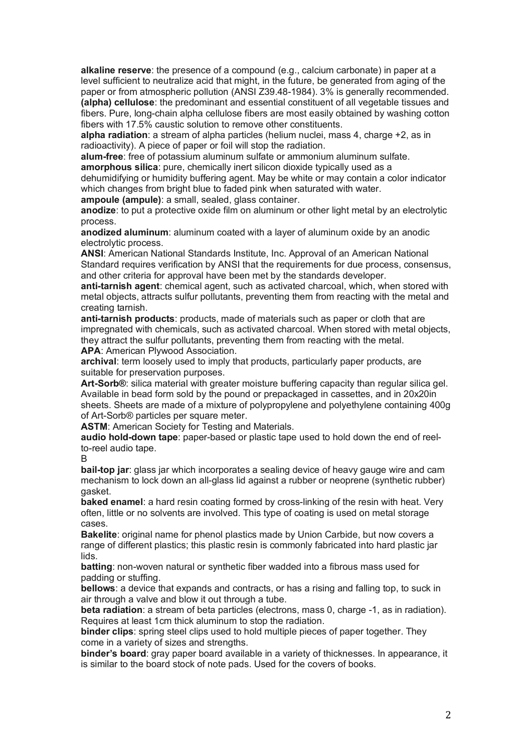**alkaline reserve**: the presence of a compound (e.g., calcium carbonate) in paper at a level sufficient to neutralize acid that might, in the future, be generated from aging of the paper or from atmospheric pollution (ANSI Z39.48-1984). 3% is generally recommended. **(alpha) cellulose**: the predominant and essential constituent of all vegetable tissues and fibers. Pure, long-chain alpha cellulose fibers are most easily obtained by washing cotton fibers with 17.5% caustic solution to remove other constituents.

**alpha radiation**: a stream of alpha particles (helium nuclei, mass 4, charge +2, as in radioactivity). A piece of paper or foil will stop the radiation.

**alum-free**: free of potassium aluminum sulfate or ammonium aluminum sulfate. **amorphous silica**: pure, chemically inert silicon dioxide typically used as a

dehumidifying or humidity buffering agent. May be white or may contain a color indicator which changes from bright blue to faded pink when saturated with water.

**ampoule (ampule)**: a small, sealed, glass container.

**anodize**: to put a protective oxide film on aluminum or other light metal by an electrolytic process.

**anodized aluminum**: aluminum coated with a layer of aluminum oxide by an anodic electrolytic process.

**ANSI**: American National Standards Institute, Inc. Approval of an American National Standard requires verification by ANSI that the requirements for due process, consensus, and other criteria for approval have been met by the standards developer.

**anti-tarnish agent**: chemical agent, such as activated charcoal, which, when stored with metal objects, attracts sulfur pollutants, preventing them from reacting with the metal and creating tarnish.

**anti-tarnish products**: products, made of materials such as paper or cloth that are impregnated with chemicals, such as activated charcoal. When stored with metal objects, they attract the sulfur pollutants, preventing them from reacting with the metal.

**APA**: American Plywood Association.

**archival**: term loosely used to imply that products, particularly paper products, are suitable for preservation purposes.

**Art-Sorb®**: silica material with greater moisture buffering capacity than regular silica gel. Available in bead form sold by the pound or prepackaged in cassettes, and in 20x20in sheets. Sheets are made of a mixture of polypropylene and polyethylene containing 400g of Art-Sorb® particles per square meter.

**ASTM**: American Society for Testing and Materials.

**audio hold-down tape**: paper-based or plastic tape used to hold down the end of reelto-reel audio tape.

B

**bail-top jar**: glass jar which incorporates a sealing device of heavy gauge wire and cam mechanism to lock down an all-glass lid against a rubber or neoprene (synthetic rubber) gasket.

**baked enamel**: a hard resin coating formed by cross-linking of the resin with heat. Very often, little or no solvents are involved. This type of coating is used on metal storage cases.

**Bakelite**: original name for phenol plastics made by Union Carbide, but now covers a range of different plastics; this plastic resin is commonly fabricated into hard plastic jar lids.

**batting**: non-woven natural or synthetic fiber wadded into a fibrous mass used for padding or stuffing.

**bellows**: a device that expands and contracts, or has a rising and falling top, to suck in air through a valve and blow it out through a tube.

**beta radiation**: a stream of beta particles (electrons, mass 0, charge -1, as in radiation). Requires at least 1cm thick aluminum to stop the radiation.

**binder clips**: spring steel clips used to hold multiple pieces of paper together. They come in a variety of sizes and strengths.

**binder's board**: gray paper board available in a variety of thicknesses. In appearance, it is similar to the board stock of note pads. Used for the covers of books.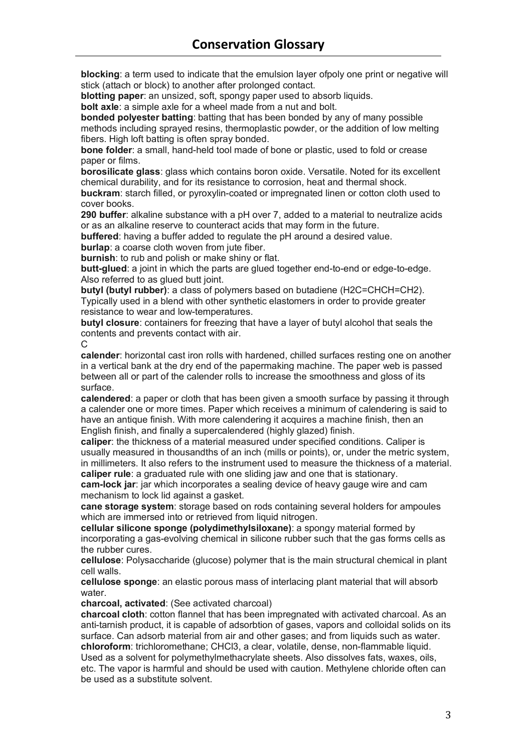**blocking**: a term used to indicate that the emulsion layer ofpoly one print or negative will stick (attach or block) to another after prolonged contact.

**blotting paper**: an unsized, soft, spongy paper used to absorb liquids.

**bolt axle**: a simple axle for a wheel made from a nut and bolt.

**bonded polyester batting**: batting that has been bonded by any of many possible methods including sprayed resins, thermoplastic powder, or the addition of low melting fibers. High loft batting is often spray bonded.

**bone folder**: a small, hand-held tool made of bone or plastic, used to fold or crease paper or films.

**borosilicate glass**: glass which contains boron oxide. Versatile. Noted for its excellent chemical durability, and for its resistance to corrosion, heat and thermal shock.

**buckram**: starch filled, or pyroxylin-coated or impregnated linen or cotton cloth used to cover books.

**290 buffer**: alkaline substance with a pH over 7, added to a material to neutralize acids or as an alkaline reserve to counteract acids that may form in the future.

**buffered**: having a buffer added to regulate the pH around a desired value.

**burlap**: a coarse cloth woven from jute fiber.

**burnish**: to rub and polish or make shiny or flat.

**butt-glued**: a joint in which the parts are glued together end-to-end or edge-to-edge. Also referred to as glued butt joint.

**butyl (butyl rubber)**: a class of polymers based on butadiene (H2C=CHCH=CH2). Typically used in a blend with other synthetic elastomers in order to provide greater resistance to wear and low-temperatures.

**butyl closure**: containers for freezing that have a layer of butyl alcohol that seals the contents and prevents contact with air.

C

**calender**: horizontal cast iron rolls with hardened, chilled surfaces resting one on another in a vertical bank at the dry end of the papermaking machine. The paper web is passed between all or part of the calender rolls to increase the smoothness and gloss of its surface.

**calendered**: a paper or cloth that has been given a smooth surface by passing it through a calender one or more times. Paper which receives a minimum of calendering is said to have an antique finish. With more calendering it acquires a machine finish, then an English finish, and finally a supercalendered (highly glazed) finish.

**caliper**: the thickness of a material measured under specified conditions. Caliper is usually measured in thousandths of an inch (mills or points), or, under the metric system, in millimeters. It also refers to the instrument used to measure the thickness of a material. **caliper rule**: a graduated rule with one sliding jaw and one that is stationary.

**cam-lock jar**: jar which incorporates a sealing device of heavy gauge wire and cam mechanism to lock lid against a gasket.

**cane storage system**: storage based on rods containing several holders for ampoules which are immersed into or retrieved from liquid nitrogen.

**cellular silicone sponge (polydimethylsiloxane)**: a spongy material formed by incorporating a gas-evolving chemical in silicone rubber such that the gas forms cells as the rubber cures.

**cellulose**: Polysaccharide (glucose) polymer that is the main structural chemical in plant cell walls.

**cellulose sponge**: an elastic porous mass of interlacing plant material that will absorb water.

**charcoal, activated**: (See activated charcoal)

**charcoal cloth**: cotton flannel that has been impregnated with activated charcoal. As an anti-tarnish product, it is capable of adsorbtion of gases, vapors and colloidal solids on its surface. Can adsorb material from air and other gases; and from liquids such as water. **chloroform**: trichloromethane; CHCl3, a clear, volatile, dense, non-flammable liquid. Used as a solvent for polymethylmethacrylate sheets. Also dissolves fats, waxes, oils, etc. The vapor is harmful and should be used with caution. Methylene chloride often can be used as a substitute solvent.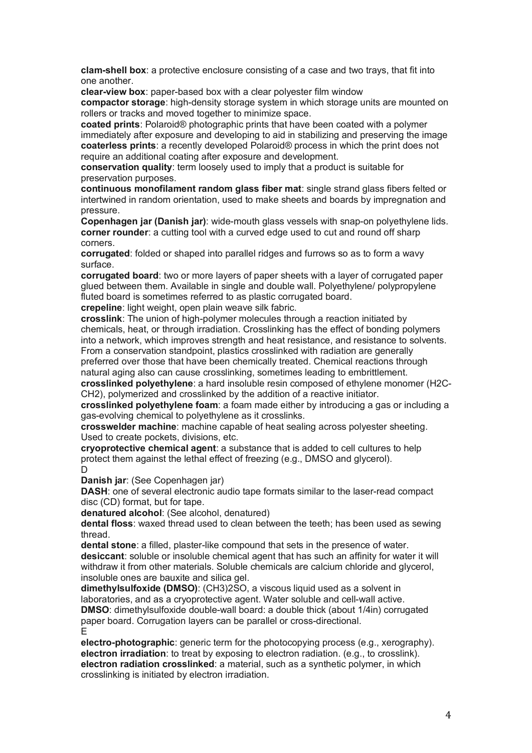**clam-shell box**: a protective enclosure consisting of a case and two trays, that fit into one another.

**clear-view box**: paper-based box with a clear polyester film window

**compactor storage**: high-density storage system in which storage units are mounted on rollers or tracks and moved together to minimize space.

**coated prints**: Polaroid® photographic prints that have been coated with a polymer immediately after exposure and developing to aid in stabilizing and preserving the image **coaterless prints**: a recently developed Polaroid® process in which the print does not require an additional coating after exposure and development.

**conservation quality**: term loosely used to imply that a product is suitable for preservation purposes.

**continuous monofilament random glass fiber mat**: single strand glass fibers felted or intertwined in random orientation, used to make sheets and boards by impregnation and pressure.

**Copenhagen jar (Danish jar)**: wide-mouth glass vessels with snap-on polyethylene lids. **corner rounder**: a cutting tool with a curved edge used to cut and round off sharp corners.

**corrugated**: folded or shaped into parallel ridges and furrows so as to form a wavy surface.

**corrugated board**: two or more layers of paper sheets with a layer of corrugated paper glued between them. Available in single and double wall. Polyethylene/ polypropylene fluted board is sometimes referred to as plastic corrugated board.

**crepeline**: light weight, open plain weave silk fabric.

**crosslink**: The union of high-polymer molecules through a reaction initiated by chemicals, heat, or through irradiation. Crosslinking has the effect of bonding polymers into a network, which improves strength and heat resistance, and resistance to solvents. From a conservation standpoint, plastics crosslinked with radiation are generally

preferred over those that have been chemically treated. Chemical reactions through natural aging also can cause crosslinking, sometimes leading to embrittlement.

**crosslinked polyethylene**: a hard insoluble resin composed of ethylene monomer (H2C-CH2), polymerized and crosslinked by the addition of a reactive initiator.

**crosslinked polyethylene foam**: a foam made either by introducing a gas or including a gas-evolving chemical to polyethylene as it crosslinks.

**crosswelder machine**: machine capable of heat sealing across polyester sheeting. Used to create pockets, divisions, etc.

**cryoprotective chemical agent**: a substance that is added to cell cultures to help protect them against the lethal effect of freezing (e.g., DMSO and glycerol).  $\mathsf{D}$ 

**Danish jar**: (See Copenhagen jar)

**DASH:** one of several electronic audio tape formats similar to the laser-read compact disc (CD) format, but for tape.

**denatured alcohol**: (See alcohol, denatured)

**dental floss**: waxed thread used to clean between the teeth; has been used as sewing thread.

**dental stone**: a filled, plaster-like compound that sets in the presence of water. **desiccant**: soluble or insoluble chemical agent that has such an affinity for water it will withdraw it from other materials. Soluble chemicals are calcium chloride and glycerol, insoluble ones are bauxite and silica gel.

**dimethylsulfoxide (DMSO)**: (CH3)2SO, a viscous liquid used as a solvent in laboratories, and as a cryoprotective agent. Water soluble and cell-wall active. **DMSO**: dimethylsulfoxide double-wall board: a double thick (about 1/4in) corrugated paper board. Corrugation layers can be parallel or cross-directional. E

**electro-photographic**: generic term for the photocopying process (e.g., xerography). **electron irradiation**: to treat by exposing to electron radiation. (e.g., to crosslink). **electron radiation crosslinked**: a material, such as a synthetic polymer, in which crosslinking is initiated by electron irradiation.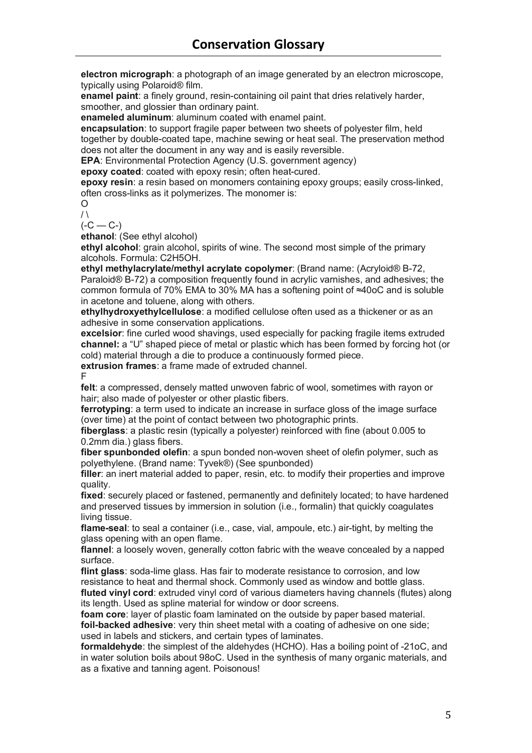**electron micrograph**: a photograph of an image generated by an electron microscope, typically using Polaroid® film.

**enamel paint**: a finely ground, resin-containing oil paint that dries relatively harder, smoother, and glossier than ordinary paint.

**enameled aluminum**: aluminum coated with enamel paint.

**encapsulation**: to support fragile paper between two sheets of polyester film, held together by double-coated tape, machine sewing or heat seal. The preservation method does not alter the document in any way and is easily reversible.

**EPA**: Environmental Protection Agency (U.S. government agency)

**epoxy coated**: coated with epoxy resin; often heat-cured.

**epoxy resin**: a resin based on monomers containing epoxy groups; easily cross-linked, often cross-links as it polymerizes. The monomer is:

 $\Omega$  $/ \lambda$ 

 $(-C - C<sub>-</sub>)$ 

**ethanol**: (See ethyl alcohol)

**ethyl alcohol**: grain alcohol, spirits of wine. The second most simple of the primary alcohols. Formula: C2H5OH.

**ethyl methylacrylate/methyl acrylate copolymer**: (Brand name: (Acryloid® B-72, Paraloid® B-72) a composition frequently found in acrylic varnishes, and adhesives; the common formula of 70% EMA to 30% MA has a softening point of ≈40oC and is soluble in acetone and toluene, along with others.

**ethylhydroxyethylcellulose**: a modified cellulose often used as a thickener or as an adhesive in some conservation applications.

**excelsior**: fine curled wood shavings, used especially for packing fragile items extruded **channel:** a "U" shaped piece of metal or plastic which has been formed by forcing hot (or cold) material through a die to produce a continuously formed piece.

**extrusion frames**: a frame made of extruded channel.

F

**felt**: a compressed, densely matted unwoven fabric of wool, sometimes with rayon or hair; also made of polyester or other plastic fibers.

**ferrotyping**: a term used to indicate an increase in surface gloss of the image surface (over time) at the point of contact between two photographic prints.

**fiberglass**: a plastic resin (typically a polyester) reinforced with fine (about 0.005 to 0.2mm dia.) glass fibers.

**fiber spunbonded olefin**: a spun bonded non-woven sheet of olefin polymer, such as polyethylene. (Brand name: Tyvek®) (See spunbonded)

**filler**: an inert material added to paper, resin, etc. to modify their properties and improve quality.

**fixed**: securely placed or fastened, permanently and definitely located; to have hardened and preserved tissues by immersion in solution (i.e., formalin) that quickly coagulates living tissue.

**flame-seal**: to seal a container (i.e., case, vial, ampoule, etc.) air-tight, by melting the glass opening with an open flame.

**flannel**: a loosely woven, generally cotton fabric with the weave concealed by a napped surface.

**flint glass**: soda-lime glass. Has fair to moderate resistance to corrosion, and low resistance to heat and thermal shock. Commonly used as window and bottle glass. **fluted vinyl cord**: extruded vinyl cord of various diameters having channels (flutes) along its length. Used as spline material for window or door screens.

**foam core**: layer of plastic foam laminated on the outside by paper based material. **foil-backed adhesive**: very thin sheet metal with a coating of adhesive on one side; used in labels and stickers, and certain types of laminates.

**formaldehyde**: the simplest of the aldehydes (HCHO). Has a boiling point of -21oC, and in water solution boils about 98oC. Used in the synthesis of many organic materials, and as a fixative and tanning agent. Poisonous!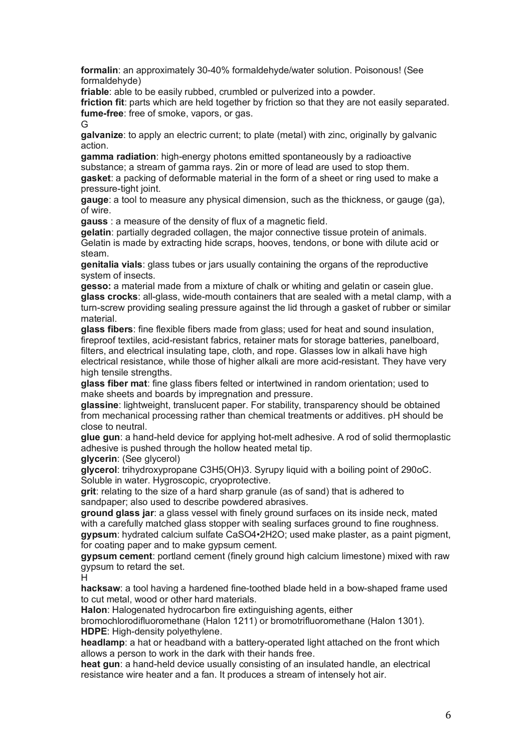**formalin**: an approximately 30-40% formaldehyde/water solution. Poisonous! (See formaldehyde)

**friable**: able to be easily rubbed, crumbled or pulverized into a powder.

**friction fit**: parts which are held together by friction so that they are not easily separated. **fume-free**: free of smoke, vapors, or gas.

G

**galvanize**: to apply an electric current; to plate (metal) with zinc, originally by galvanic action.

**gamma radiation**: high-energy photons emitted spontaneously by a radioactive substance; a stream of gamma rays. 2in or more of lead are used to stop them. **gasket**: a packing of deformable material in the form of a sheet or ring used to make a pressure-tight joint.

**gauge**: a tool to measure any physical dimension, such as the thickness, or gauge (ga), of wire.

**gauss** : a measure of the density of flux of a magnetic field.

**gelatin**: partially degraded collagen, the major connective tissue protein of animals. Gelatin is made by extracting hide scraps, hooves, tendons, or bone with dilute acid or steam.

**genitalia vials**: glass tubes or jars usually containing the organs of the reproductive system of insects.

**gesso:** a material made from a mixture of chalk or whiting and gelatin or casein glue. **glass crocks**: all-glass, wide-mouth containers that are sealed with a metal clamp, with a turn-screw providing sealing pressure against the lid through a gasket of rubber or similar material.

**glass fibers**: fine flexible fibers made from glass; used for heat and sound insulation, fireproof textiles, acid-resistant fabrics, retainer mats for storage batteries, panelboard, filters, and electrical insulating tape, cloth, and rope. Glasses low in alkali have high electrical resistance, while those of higher alkali are more acid-resistant. They have very high tensile strengths.

**glass fiber mat**: fine glass fibers felted or intertwined in random orientation; used to make sheets and boards by impregnation and pressure.

**glassine**: lightweight, translucent paper. For stability, transparency should be obtained from mechanical processing rather than chemical treatments or additives. pH should be close to neutral.

**glue gun**: a hand-held device for applying hot-melt adhesive. A rod of solid thermoplastic adhesive is pushed through the hollow heated metal tip.

**glycerin**: (See glycerol)

**glycerol**: trihydroxypropane C3H5(OH)3. Syrupy liquid with a boiling point of 290oC. Soluble in water. Hygroscopic, cryoprotective.

**grit**: relating to the size of a hard sharp granule (as of sand) that is adhered to sandpaper; also used to describe powdered abrasives.

**ground glass jar**: a glass vessel with finely ground surfaces on its inside neck, mated with a carefully matched glass stopper with sealing surfaces ground to fine roughness. **gypsum**: hydrated calcium sulfate CaSO4•2H2O; used make plaster, as a paint pigment, for coating paper and to make gypsum cement.

**gypsum cement**: portland cement (finely ground high calcium limestone) mixed with raw gypsum to retard the set.

H

**hacksaw**: a tool having a hardened fine-toothed blade held in a bow-shaped frame used to cut metal, wood or other hard materials.

**Halon**: Halogenated hydrocarbon fire extinguishing agents, either

bromochlorodifluoromethane (Halon 1211) or bromotrifluoromethane (Halon 1301). **HDPE**: High-density polyethylene.

**headlamp**: a hat or headband with a battery-operated light attached on the front which allows a person to work in the dark with their hands free.

**heat gun**: a hand-held device usually consisting of an insulated handle, an electrical resistance wire heater and a fan. It produces a stream of intensely hot air.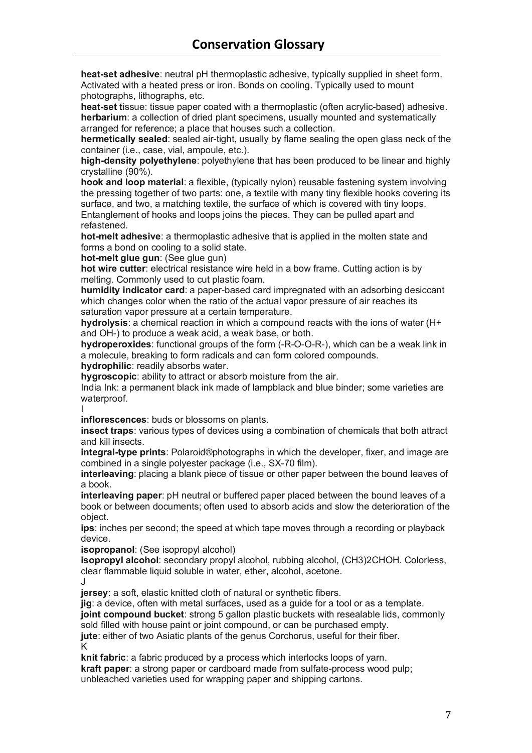**heat-set adhesive**: neutral pH thermoplastic adhesive, typically supplied in sheet form. Activated with a heated press or iron. Bonds on cooling. Typically used to mount photographs, lithographs, etc.

**heat-set t**issue: tissue paper coated with a thermoplastic (often acrylic-based) adhesive. **herbarium**: a collection of dried plant specimens, usually mounted and systematically arranged for reference; a place that houses such a collection.

**hermetically sealed**: sealed air-tight, usually by flame sealing the open glass neck of the container (i.e., case, vial, ampoule, etc.).

**high-density polyethylene**: polyethylene that has been produced to be linear and highly crystalline (90%).

**hook and loop material**: a flexible, (typically nylon) reusable fastening system involving the pressing together of two parts: one, a textile with many tiny flexible hooks covering its surface, and two, a matching textile, the surface of which is covered with tiny loops. Entanglement of hooks and loops joins the pieces. They can be pulled apart and refastened.

**hot-melt adhesive**: a thermoplastic adhesive that is applied in the molten state and forms a bond on cooling to a solid state.

**hot-melt glue gun**: (See glue gun)

**hot wire cutter**: electrical resistance wire held in a bow frame. Cutting action is by melting. Commonly used to cut plastic foam.

**humidity indicator card**: a paper-based card impregnated with an adsorbing desiccant which changes color when the ratio of the actual vapor pressure of air reaches its saturation vapor pressure at a certain temperature.

**hydrolysis**: a chemical reaction in which a compound reacts with the ions of water (H+ and OH-) to produce a weak acid, a weak base, or both.

**hydroperoxides**: functional groups of the form (-R-O-O-R-), which can be a weak link in a molecule, breaking to form radicals and can form colored compounds.

**hydrophilic**: readily absorbs water.

**hygroscopic**: ability to attract or absorb moisture from the air.

India Ink: a permanent black ink made of lampblack and blue binder; some varieties are waterproof. I

**inflorescences**: buds or blossoms on plants.

**insect traps**: various types of devices using a combination of chemicals that both attract and kill insects.

**integral-type prints**: Polaroid®photographs in which the developer, fixer, and image are combined in a single polyester package (i.e., SX-70 film).

**interleaving**: placing a blank piece of tissue or other paper between the bound leaves of a book.

**interleaving paper**: pH neutral or buffered paper placed between the bound leaves of a book or between documents; often used to absorb acids and slow the deterioration of the object.

**ips**: inches per second; the speed at which tape moves through a recording or playback device.

**isopropanol**: (See isopropyl alcohol)

**isopropyl alcohol**: secondary propyl alcohol, rubbing alcohol, (CH3)2CHOH. Colorless, clear flammable liquid soluble in water, ether, alcohol, acetone. J

**jersey**: a soft, elastic knitted cloth of natural or synthetic fibers.

**jig**: a device, often with metal surfaces, used as a guide for a tool or as a template. **joint compound bucket**: strong 5 gallon plastic buckets with resealable lids, commonly

sold filled with house paint or joint compound, or can be purchased empty.

**jute**: either of two Asiatic plants of the genus Corchorus, useful for their fiber. K

**knit fabric**: a fabric produced by a process which interlocks loops of yarn. **kraft paper**: a strong paper or cardboard made from sulfate-process wood pulp; unbleached varieties used for wrapping paper and shipping cartons.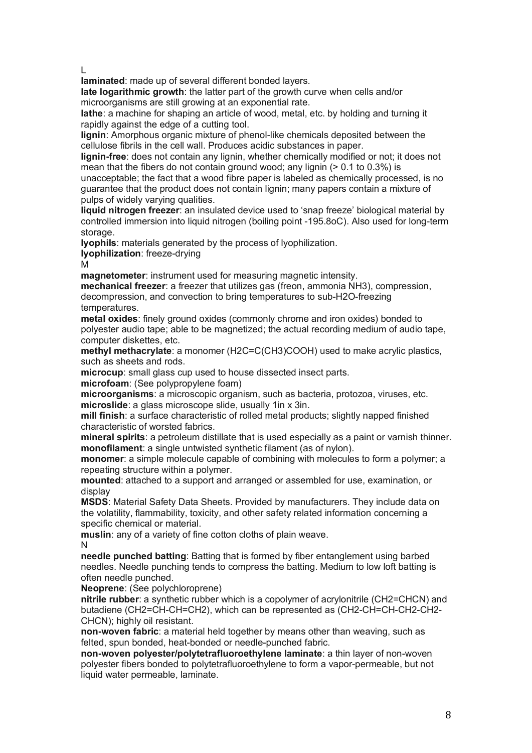L

**laminated**: made up of several different bonded layers.

**late logarithmic growth**: the latter part of the growth curve when cells and/or microorganisms are still growing at an exponential rate.

**lathe**: a machine for shaping an article of wood, metal, etc. by holding and turning it rapidly against the edge of a cutting tool.

**lignin**: Amorphous organic mixture of phenol-like chemicals deposited between the cellulose fibrils in the cell wall. Produces acidic substances in paper.

**lignin-free**: does not contain any lignin, whether chemically modified or not; it does not mean that the fibers do not contain ground wood; any lignin  $(> 0.1$  to 0.3%) is

unacceptable; the fact that a wood fibre paper is labeled as chemically processed, is no guarantee that the product does not contain lignin; many papers contain a mixture of pulps of widely varying qualities.

**liquid nitrogen freezer**: an insulated device used to 'snap freeze' biological material by controlled immersion into liquid nitrogen (boiling point -195.8oC). Also used for long-term storage.

**lyophils**: materials generated by the process of lyophilization.

**lyophilization**: freeze-drying

M

**magnetometer**: instrument used for measuring magnetic intensity.

**mechanical freezer**: a freezer that utilizes gas (freon, ammonia NH3), compression, decompression, and convection to bring temperatures to sub-H2O-freezing temperatures.

**metal oxides**: finely ground oxides (commonly chrome and iron oxides) bonded to polyester audio tape; able to be magnetized; the actual recording medium of audio tape, computer diskettes, etc.

**methyl methacrylate**: a monomer (H2C=C(CH3)COOH) used to make acrylic plastics, such as sheets and rods.

**microcup**: small glass cup used to house dissected insect parts.

**microfoam**: (See polypropylene foam)

**microorganisms**: a microscopic organism, such as bacteria, protozoa, viruses, etc. **microslide**: a glass microscope slide, usually 1in x 3in.

**mill finish**: a surface characteristic of rolled metal products; slightly napped finished characteristic of worsted fabrics.

**mineral spirits**: a petroleum distillate that is used especially as a paint or varnish thinner. **monofilament**: a single untwisted synthetic filament (as of nylon).

**monomer**: a simple molecule capable of combining with molecules to form a polymer; a repeating structure within a polymer.

**mounted**: attached to a support and arranged or assembled for use, examination, or display

**MSDS**: Material Safety Data Sheets. Provided by manufacturers. They include data on the volatility, flammability, toxicity, and other safety related information concerning a specific chemical or material.

**muslin**: any of a variety of fine cotton cloths of plain weave. N

**needle punched batting**: Batting that is formed by fiber entanglement using barbed needles. Needle punching tends to compress the batting. Medium to low loft batting is often needle punched.

**Neoprene**: (See polychloroprene)

**nitrile rubber**: a synthetic rubber which is a copolymer of acrylonitrile (CH2=CHCN) and butadiene (CH2=CH-CH=CH2), which can be represented as (CH2-CH=CH-CH2-CH2- CHCN); highly oil resistant.

**non-woven fabric**: a material held together by means other than weaving, such as felted, spun bonded, heat-bonded or needle-punched fabric.

**non-woven polyester/polytetrafluoroethylene laminate**: a thin layer of non-woven polyester fibers bonded to polytetrafluoroethylene to form a vapor-permeable, but not liquid water permeable, laminate.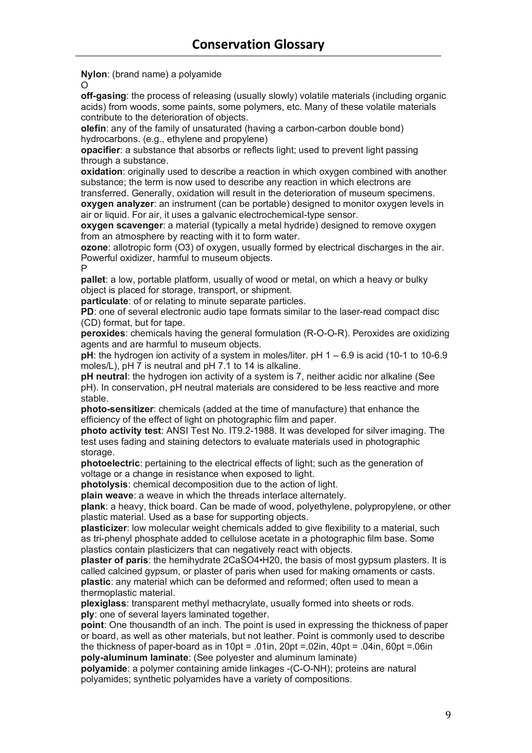**Nylon**: (brand name) a polyamide

 $\Omega$ 

**off-gasing**: the process of releasing (usually slowly) volatile materials (including organic acids) from woods, some paints, some polymers, etc. Many of these volatile materials contribute to the deterioration of objects.

**olefin**: any of the family of unsaturated (having a carbon-carbon double bond) hydrocarbons. (e.g., ethylene and propylene)

**opacifier**: a substance that absorbs or reflects light; used to prevent light passing through a substance.

**oxidation**: originally used to describe a reaction in which oxygen combined with another substance; the term is now used to describe any reaction in which electrons are

transferred. Generally, oxidation will result in the deterioration of museum specimens. **oxygen analyzer**: an instrument (can be portable) designed to monitor oxygen levels in air or liquid. For air, it uses a galvanic electrochemical-type sensor.

**oxygen scavenger**: a material (typically a metal hydride) designed to remove oxygen from an atmosphere by reacting with it to form water.

**ozone**: allotropic form (O3) of oxygen, usually formed by electrical discharges in the air. Powerful oxidizer, harmful to museum objects. P

**pallet**: a low, portable platform, usually of wood or metal, on which a heavy or bulky object is placed for storage, transport, or shipment.

**particulate**: of or relating to minute separate particles.

**PD**: one of several electronic audio tape formats similar to the laser-read compact disc (CD) format, but for tape.

**peroxides**: chemicals having the general formulation (R-O-O-R). Peroxides are oxidizing agents and are harmful to museum objects.

**pH**: the hydrogen ion activity of a system in moles/liter. pH 1 – 6.9 is acid (10-1 to 10-6.9 moles/L), pH 7 is neutral and pH 7.1 to 14 is alkaline.

**pH neutral**: the hydrogen ion activity of a system is 7, neither acidic nor alkaline (See pH). In conservation, pH neutral materials are considered to be less reactive and more stable.

**photo-sensitizer**: chemicals (added at the time of manufacture) that enhance the efficiency of the effect of light on photographic film and paper.

**photo activity test**: ANSI Test No. IT9.2-1988. It was developed for silver imaging. The test uses fading and staining detectors to evaluate materials used in photographic storage.

**photoelectric**: pertaining to the electrical effects of light; such as the generation of voltage or a change in resistance when exposed to light.

**photolysis**: chemical decomposition due to the action of light.

**plain weave**: a weave in which the threads interlace alternately.

**plank**: a heavy, thick board. Can be made of wood, polyethylene, polypropylene, or other plastic material. Used as a base for supporting objects.

**plasticizer**: low molecular weight chemicals added to give flexibility to a material, such as tri-phenyl phosphate added to cellulose acetate in a photographic film base. Some plastics contain plasticizers that can negatively react with objects.

**plaster of paris**: the hemihydrate 2CaSO4•H20, the basis of most gypsum plasters. It is called calcined gypsum, or plaster of paris when used for making ornaments or casts. **plastic**: any material which can be deformed and reformed; often used to mean a thermoplastic material.

**plexiglass**: transparent methyl methacrylate, usually formed into sheets or rods. **ply**: one of several layers laminated together.

**point**: One thousandth of an inch. The point is used in expressing the thickness of paper or board, as well as other materials, but not leather. Point is commonly used to describe the thickness of paper-board as in 10pt = .01in, 20pt = .02in, 40pt = .04in, 60pt = .06in **poly-aluminum laminate**: (See polyester and aluminum laminate)

**polyamide**: a polymer containing amide linkages -(C-O-NH); proteins are natural polyamides; synthetic polyamides have a variety of compositions.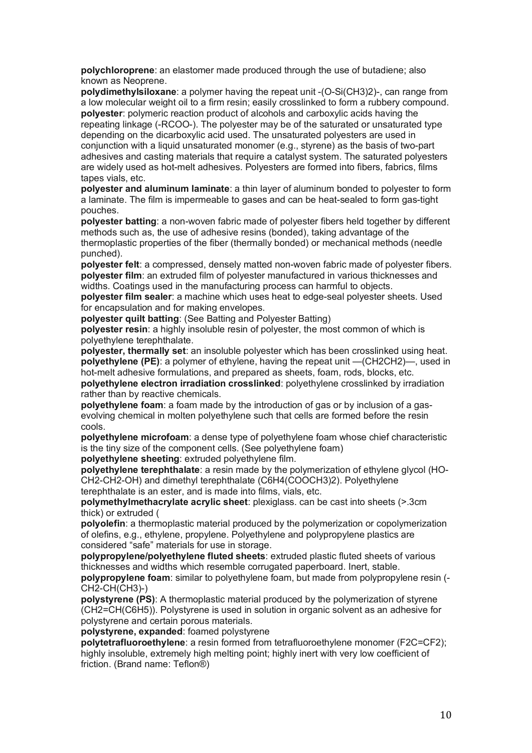**polychloroprene**: an elastomer made produced through the use of butadiene; also known as Neoprene.

**polydimethylsiloxane**: a polymer having the repeat unit -(O-Si(CH3)2)-, can range from a low molecular weight oil to a firm resin; easily crosslinked to form a rubbery compound. **polyester**: polymeric reaction product of alcohols and carboxylic acids having the repeating linkage (-RCOO-). The polyester may be of the saturated or unsaturated type depending on the dicarboxylic acid used. The unsaturated polyesters are used in conjunction with a liquid unsaturated monomer (e.g., styrene) as the basis of two-part adhesives and casting materials that require a catalyst system. The saturated polyesters are widely used as hot-melt adhesives. Polyesters are formed into fibers, fabrics, films tapes vials, etc.

**polyester and aluminum laminate**: a thin layer of aluminum bonded to polyester to form a laminate. The film is impermeable to gases and can be heat-sealed to form gas-tight pouches.

**polyester batting**: a non-woven fabric made of polyester fibers held together by different methods such as, the use of adhesive resins (bonded), taking advantage of the thermoplastic properties of the fiber (thermally bonded) or mechanical methods (needle punched).

**polyester felt**: a compressed, densely matted non-woven fabric made of polyester fibers. **polyester film**: an extruded film of polyester manufactured in various thicknesses and widths. Coatings used in the manufacturing process can harmful to objects.

**polyester film sealer**: a machine which uses heat to edge-seal polyester sheets. Used for encapsulation and for making envelopes.

**polyester quilt batting**: (See Batting and Polyester Batting)

**polyester resin**: a highly insoluble resin of polyester, the most common of which is polyethylene terephthalate.

**polyester, thermally set**: an insoluble polyester which has been crosslinked using heat. **polyethylene (PE)**: a polymer of ethylene, having the repeat unit —(CH2CH2)—, used in hot-melt adhesive formulations, and prepared as sheets, foam, rods, blocks, etc.

**polyethylene electron irradiation crosslinked**: polyethylene crosslinked by irradiation rather than by reactive chemicals.

**polyethylene foam**: a foam made by the introduction of gas or by inclusion of a gasevolving chemical in molten polyethylene such that cells are formed before the resin cools.

**polyethylene microfoam**: a dense type of polyethylene foam whose chief characteristic is the tiny size of the component cells. (See polyethylene foam)

**polyethylene sheeting**: extruded polyethylene film.

**polyethylene terephthalate**: a resin made by the polymerization of ethylene glycol (HO-CH2-CH2-OH) and dimethyl terephthalate (C6H4(COOCH3)2). Polyethylene terephthalate is an ester, and is made into films, vials, etc.

**polymethylmethacrylate acrylic sheet**: plexiglass. can be cast into sheets (>.3cm thick) or extruded (

**polyolefin**: a thermoplastic material produced by the polymerization or copolymerization of olefins, e.g., ethylene, propylene. Polyethylene and polypropylene plastics are considered "safe" materials for use in storage.

**polypropylene/polyethylene fluted sheets**: extruded plastic fluted sheets of various thicknesses and widths which resemble corrugated paperboard. Inert, stable.

**polypropylene foam**: similar to polyethylene foam, but made from polypropylene resin (- CH2-CH(CH3)-)

**polystyrene (PS)**: A thermoplastic material produced by the polymerization of styrene (CH2=CH(C6H5)). Polystyrene is used in solution in organic solvent as an adhesive for polystyrene and certain porous materials.

**polystyrene, expanded**: foamed polystyrene

**polytetrafluoroethylene**: a resin formed from tetrafluoroethylene monomer (F2C=CF2); highly insoluble, extremely high melting point; highly inert with very low coefficient of friction. (Brand name: Teflon®)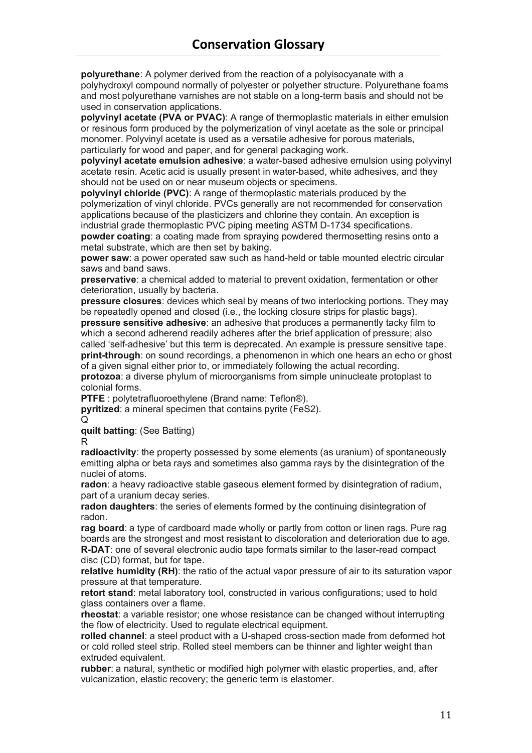**polyurethane**: A polymer derived from the reaction of a polyisocyanate with a polyhydroxyl compound normally of polyester or polyether structure. Polyurethane foams and most polyurethane varnishes are not stable on a long-term basis and should not be used in conservation applications.

**polyvinyl acetate (PVA or PVAC)**: A range of thermoplastic materials in either emulsion or resinous form produced by the polymerization of vinyl acetate as the sole or principal monomer. Polyvinyl acetate is used as a versatile adhesive for porous materials, particularly for wood and paper, and for general packaging work.

**polyvinyl acetate emulsion adhesive**: a water-based adhesive emulsion using polyvinyl acetate resin. Acetic acid is usually present in water-based, white adhesives, and they should not be used on or near museum objects or specimens.

**polyvinyl chloride (PVC)**: A range of thermoplastic materials produced by the polymerization of vinyl chloride. PVCs generally are not recommended for conservation applications because of the plasticizers and chlorine they contain. An exception is industrial grade thermoplastic PVC piping meeting ASTM D-1734 specifications.

**powder coating**: a coating made from spraying powdered thermosetting resins onto a metal substrate, which are then set by baking.

**power saw**: a power operated saw such as hand-held or table mounted electric circular saws and band saws.

**preservative**: a chemical added to material to prevent oxidation, fermentation or other deterioration, usually by bacteria.

**pressure closures**: devices which seal by means of two interlocking portions. They may be repeatedly opened and closed (i.e., the locking closure strips for plastic bags). **pressure sensitive adhesive**: an adhesive that produces a permanently tacky film to which a second adherend readily adheres after the brief application of pressure; also called 'self-adhesive' but this term is deprecated. An example is pressure sensitive tape. **print-through**: on sound recordings, a phenomenon in which one hears an echo or ghost of a given signal either prior to, or immediately following the actual recording. **protozoa**: a diverse phylum of microorganisms from simple uninucleate protoplast to colonial forms.

**PTFE** : polytetrafluoroethylene (Brand name: Teflon®).

**pyritized**: a mineral specimen that contains pyrite (FeS2).

 $\Omega$ 

**quilt batting**: (See Batting)

R

**radioactivity**: the property possessed by some elements (as uranium) of spontaneously emitting alpha or beta rays and sometimes also gamma rays by the disintegration of the nuclei of atoms.

**radon**: a heavy radioactive stable gaseous element formed by disintegration of radium, part of a uranium decay series.

**radon daughters**: the series of elements formed by the continuing disintegration of radon.

**rag board**: a type of cardboard made wholly or partly from cotton or linen rags. Pure rag boards are the strongest and most resistant to discoloration and deterioration due to age. **R-DAT**: one of several electronic audio tape formats similar to the laser-read compact disc (CD) format, but for tape.

**relative humidity (RH)**: the ratio of the actual vapor pressure of air to its saturation vapor pressure at that temperature.

**retort stand**: metal laboratory tool, constructed in various configurations; used to hold glass containers over a flame.

**rheostat**: a variable resistor; one whose resistance can be changed without interrupting the flow of electricity. Used to regulate electrical equipment.

**rolled channel**: a steel product with a U-shaped cross-section made from deformed hot or cold rolled steel strip. Rolled steel members can be thinner and lighter weight than extruded equivalent.

**rubber**: a natural, synthetic or modified high polymer with elastic properties, and, after vulcanization, elastic recovery; the generic term is elastomer.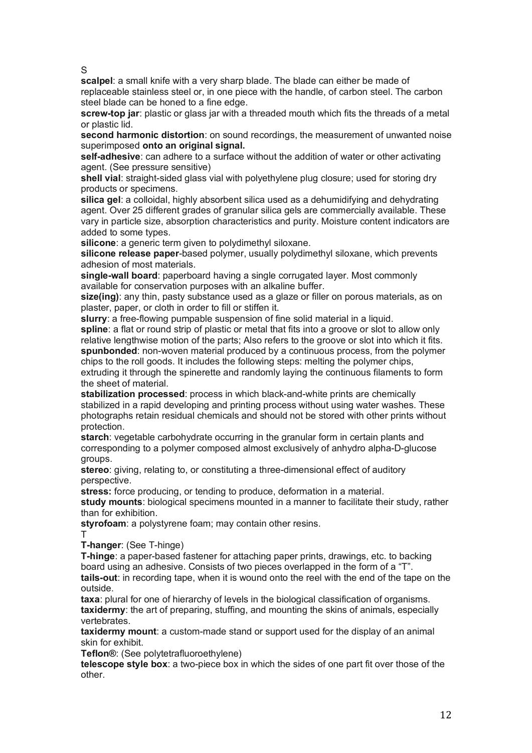S

**scalpel**: a small knife with a very sharp blade. The blade can either be made of replaceable stainless steel or, in one piece with the handle, of carbon steel. The carbon steel blade can be honed to a fine edge.

**screw-top jar**: plastic or glass jar with a threaded mouth which fits the threads of a metal or plastic lid.

**second harmonic distortion**: on sound recordings, the measurement of unwanted noise superimposed **onto an original signal.**

**self-adhesive**: can adhere to a surface without the addition of water or other activating agent. (See pressure sensitive)

**shell vial**: straight-sided glass vial with polyethylene plug closure; used for storing dry products or specimens.

**silica gel**: a colloidal, highly absorbent silica used as a dehumidifying and dehydrating agent. Over 25 different grades of granular silica gels are commercially available. These vary in particle size, absorption characteristics and purity. Moisture content indicators are added to some types.

**silicone**: a generic term given to polydimethyl siloxane.

**silicone release paper**-based polymer, usually polydimethyl siloxane, which prevents adhesion of most materials.

**single-wall board**: paperboard having a single corrugated layer. Most commonly available for conservation purposes with an alkaline buffer.

**size(ing)**: any thin, pasty substance used as a glaze or filler on porous materials, as on plaster, paper, or cloth in order to fill or stiffen it.

**slurry**: a free-flowing pumpable suspension of fine solid material in a liquid.

**spline**: a flat or round strip of plastic or metal that fits into a groove or slot to allow only relative lengthwise motion of the parts; Also refers to the groove or slot into which it fits. **spunbonded**: non-woven material produced by a continuous process, from the polymer chips to the roll goods. It includes the following steps: melting the polymer chips,

extruding it through the spinerette and randomly laying the continuous filaments to form the sheet of material.

**stabilization processed**: process in which black-and-white prints are chemically stabilized in a rapid developing and printing process without using water washes. These photographs retain residual chemicals and should not be stored with other prints without protection.

**starch**: vegetable carbohydrate occurring in the granular form in certain plants and corresponding to a polymer composed almost exclusively of anhydro alpha-D-glucose groups.

**stereo**: giving, relating to, or constituting a three-dimensional effect of auditory perspective.

**stress:** force producing, or tending to produce, deformation in a material.

**study mounts**: biological specimens mounted in a manner to facilitate their study, rather than for exhibition.

**styrofoam**: a polystyrene foam; may contain other resins. T

**T-hanger**: (See T-hinge)

**T-hinge**: a paper-based fastener for attaching paper prints, drawings, etc. to backing board using an adhesive. Consists of two pieces overlapped in the form of a "T". **tails-out**: in recording tape, when it is wound onto the reel with the end of the tape on the outside.

**taxa**: plural for one of hierarchy of levels in the biological classification of organisms. **taxidermy**: the art of preparing, stuffing, and mounting the skins of animals, especially vertebrates.

**taxidermy mount**: a custom-made stand or support used for the display of an animal skin for exhibit.

**Teflon®**: (See polytetrafluoroethylene)

**telescope style box**: a two-piece box in which the sides of one part fit over those of the other.